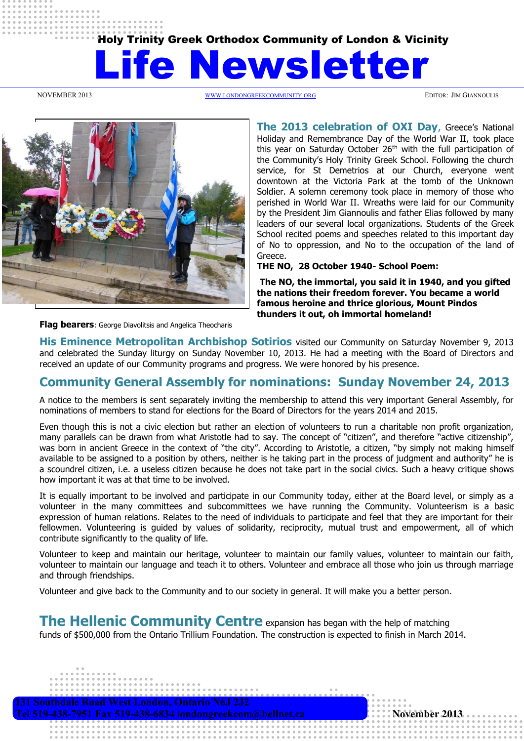# Holy Trinity Greek Orthodox Community of London & Vicinity

# wsletter

NOVEMBER 2013 WWW.[LONDONGREEKCOMMUNITY](http://www.londongreekcommunity.org/).ORG EDITOR: JIM GIANNOULIS



**The 2013 celebration of OXI Day**, Greece's National Holiday and Remembrance Day of the World War II, took place this year on Saturday October 26<sup>th</sup> with the full participation of the Community's Holy Trinity Greek School. Following the church service, for St Demetrios at our Church, everyone went downtown at the Victoria Park at the tomb of the Unknown Soldier. A solemn ceremony took place in memory of those who perished in World War II. Wreaths were laid for our Community by the President Jim Giannoulis and father Elias followed by many leaders of our several local organizations. Students of the Greek School recited poems and speeches related to this important day of No to oppression, and No to the occupation of the land of Greece.

**THE NO, 28 October 1940- School Poem:**

**The NO, the immortal, you said it in 1940, and you gifted the nations their freedom forever. You became a world famous heroine and thrice glorious, Mount Pindos thunders it out, oh immortal homeland!** 

**Flag bearers**: George Diavolitsis and Angelica Theocharis

**His Eminence Metropolitan Archbishop Sotirios** visited our Community on Saturday November 9, 2013 and celebrated the Sunday liturgy on Sunday November 10, 2013. He had a meeting with the Board of Directors and received an update of our Community programs and progress. We were honored by his presence.

# **Community General Assembly for nominations: Sunday November 24, 2013**

A notice to the members is sent separately inviting the membership to attend this very important General Assembly, for nominations of members to stand for elections for the Board of Directors for the years 2014 and 2015.

Even though this is not a civic election but rather an election of volunteers to run a charitable non profit organization, many parallels can be drawn from what Aristotle had to say. The concept of "citizen", and therefore "active citizenship", was born in ancient Greece in the context of "the city". According to Aristotle, a citizen, "by simply not making himself available to be assigned to a position by others, neither is he taking part in the process of judgment and authority" he is a scoundrel citizen, i.e. a useless citizen because he does not take part in the social civics. Such a heavy critique shows how important it was at that time to be involved.

It is equally important to be involved and participate in our Community today, either at the Board level, or simply as a volunteer in the many committees and subcommittees we have running the Community. Volunteerism is a basic expression of human relations. Relates to the need of individuals to participate and feel that they are important for their fellowmen. Volunteering is guided by values of solidarity, reciprocity, mutual trust and empowerment, all of which contribute significantly to the quality of life.

Volunteer to keep and maintain our heritage, volunteer to maintain our family values, volunteer to maintain our faith, volunteer to maintain our language and teach it to others. Volunteer and embrace all those who join us through marriage and through friendships.

Volunteer and give back to the Community and to our society in general. It will make you a better person.

**The Hellenic Community Centre** expansion has began with the help of matching

funds of \$500,000 from the Ontario Trillium Foundation. The construction is expected to finish in March 2014.

 **131 Southdale Road West London, Ontario N6J 2J2 Tel 519-438-7951 Fax 519-438-6834 londongreekcom@bellnet.ca November 2013**